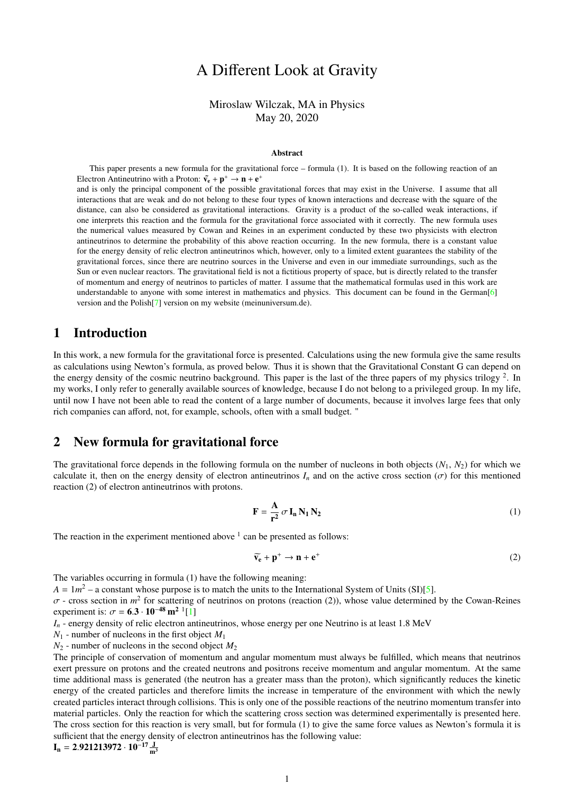# A Different Look at Gravity

### Miroslaw Wilczak, MA in Physics May 20, 2020

#### Abstract

This paper presents a new formula for the gravitational force – formula (1). It is based on the following reaction of an Electron Antineutrino with a Proton:  $\tilde{v}_e + p^+ \rightarrow n + e^+$ 

and is only the principal component of the possible gravitational forces that may exist in the Universe. I assume that all interactions that are weak and do not belong to these four types of known interactions and decrease with the square of the distance, can also be considered as gravitational interactions. Gravity is a product of the so-called weak interactions, if one interprets this reaction and the formula for the gravitational force associated with it correctly. The new formula uses the numerical values measured by Cowan and Reines in an experiment conducted by these two physicists with electron antineutrinos to determine the probability of this above reaction occurring. In the new formula, there is a constant value for the energy density of relic electron antineutrinos which, however, only to a limited extent guarantees the stability of the gravitational forces, since there are neutrino sources in the Universe and even in our immediate surroundings, such as the Sun or even nuclear reactors. The gravitational field is not a fictitious property of space, but is directly related to the transfer of momentum and energy of neutrinos to particles of matter. I assume that the mathematical formulas used in this work are understandable to anyone with some interest in mathematics and physics. This document can be found in the German<sup>[\[6\]](#page-2-0)</sup> version and the Polish[\[7\]](#page-2-1) version on my website (meinuniversum.de).

### 1 Introduction

In this work, a new formula for the gravitational force is presented. Calculations using the new formula give the same results as calculations using Newton's formula, as proved below. Thus it is shown that the Gravitational Constant G can depend on the energy density of the cosmic neutrino background. This paper is the last of the three papers of my physics trilogy  $2$ . In my works, I only refer to generally available sources of knowledge, because I do not belong to a privileged group. In my life, until now I have not been able to read the content of a large number of documents, because it involves large fees that only rich companies can afford, not, for example, schools, often with a small budget. "

### 2 New formula for gravitational force

The gravitational force depends in the following formula on the number of nucleons in both objects  $(N_1, N_2)$  for which we calculate it, then on the energy density of electron antineutrinos  $I_n$  and on the active cross section ( $\sigma$ ) for this mentioned reaction (2) of electron antineutrinos with protons.

$$
\mathbf{F} = \frac{\mathbf{A}}{\mathbf{r}^2} \sigma \mathbf{I}_n \mathbf{N}_1 \mathbf{N}_2
$$
 (1)

The reaction in the experiment mentioned above  $\frac{1}{1}$  can be presented as follows:

$$
\widetilde{\mathbf{v}_{\mathbf{e}}} + \mathbf{p}^+ \to \mathbf{n} + \mathbf{e}^+ \tag{2}
$$

The variables occurring in formula (1) have the following meaning:

 $A = 1m^2$  – a constant whose purpose is to match the units to the International System of Units (SI)[\[5\]](#page-2-2).

 $\sigma$  - cross section in  $m^2$  for scattering of neutrinos on protons (reaction (2)), whose value determined by the Cowan-Reines<br>experiment is:  $\sigma = 6.3 \cdot 10^{-48} \text{ m}^2$ <sup>1</sup>[1] experiment is:  $\sigma = 6.3 \cdot 10^{-48} \text{ m}^2$  <sup>1</sup>[\[1\]](#page-2-3)<br>*L* = energy density of relig electron and

 $I_n$  - energy density of relic electron antineutrinos, whose energy per one Neutrino is at least 1.8 MeV

 $N_1$  - number of nucleons in the first object  $M_1$ 

 $N_2$  - number of nucleons in the second object  $M_2$ 

The principle of conservation of momentum and angular momentum must always be fulfilled, which means that neutrinos exert pressure on protons and the created neutrons and positrons receive momentum and angular momentum. At the same time additional mass is generated (the neutron has a greater mass than the proton), which significantly reduces the kinetic energy of the created particles and therefore limits the increase in temperature of the environment with which the newly created particles interact through collisions. This is only one of the possible reactions of the neutrino momentum transfer into material particles. Only the reaction for which the scattering cross section was determined experimentally is presented here. The cross section for this reaction is very small, but for formula (1) to give the same force values as Newton's formula it is sufficient that the energy density of electron antineutrinos has the following value:  $I_n = 2.921213972 \cdot 10^{-17} \frac{J}{m^3}$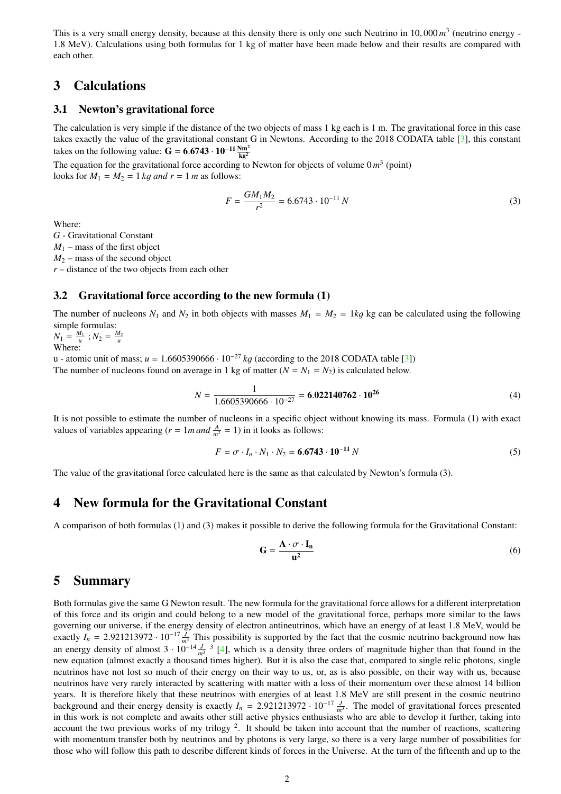This is a very small energy density, because at this density there is only one such Neutrino in 10,000 *m*<sup>3</sup> (neutrino energy -<br>1.8 MeV). Calculations using both formulas for 1 kg of matter have been made below and their 1.8 MeV). Calculations using both formulas for 1 kg of matter have been made below and their results are compared with each other.

## 3 Calculations

#### 3.1 Newton's gravitational force

The calculation is very simple if the distance of the two objects of mass 1 kg each is 1 m. The gravitational force in this case takes exactly the value of the gravitational constant G in Newtons. According to the 2018 CODATA table [\[3\]](#page-2-4), this constant takes on the following value:  $G = 6.6743 \cdot 10^{-11} \frac{Nm^2}{kg^2}$ 

The equation for the gravitational force according to Newton for objects of volume  $0 m<sup>3</sup>$  (point) looks for  $M_1 = M_2 = 1$  *kg and r* = 1 *m* as follows:

$$
F = \frac{GM_1M_2}{r^2} = 6.6743 \cdot 10^{-11} N \tag{3}
$$

Where:

*G* - Gravitational Constant  $M_1$  – mass of the first object  $M_2$  – mass of the second object *r* – distance of the two objects from each other

#### 3.2 Gravitational force according to the new formula (1)

The number of nucleons  $N_1$  and  $N_2$  in both objects with masses  $M_1 = M_2 = 1$ kg kg can be calculated using the following simple formulas:

 $N_1 = \frac{M_1}{u}$ ;  $N_2 = \frac{M_2}{u}$ Where:

u - atomic unit of mass;  $u = 1.6605390666 \cdot 10^{-27}$  *kg* (according to the 2018 CODATA table [\[3\]](#page-2-4)) The number of nucleons found on average in 1 kg of matter  $(N = N_1 = N_2)$  is calculated below.

$$
N = \frac{1}{1.6605390666 \cdot 10^{-27}} = 6.022140762 \cdot 10^{26}
$$
 (4)

It is not possible to estimate the number of nucleons in a specific object without knowing its mass. Formula (1) with exact values of variables appearing ( $r = 1$ *m and*  $\frac{A}{m^2} = 1$ ) in it looks as follows:

$$
F = \sigma \cdot I_n \cdot N_1 \cdot N_2 = 6.6743 \cdot 10^{-11} N \tag{5}
$$

The value of the gravitational force calculated here is the same as that calculated by Newton's formula (3).

### 4 New formula for the Gravitational Constant

A comparison of both formulas (1) and (3) makes it possible to derive the following formula for the Gravitational Constant:

$$
\mathbf{G} = \frac{\mathbf{A} \cdot \boldsymbol{\sigma} \cdot \mathbf{I}_n}{\mathbf{u}^2} \tag{6}
$$

### 5 Summary

Both formulas give the same G Newton result. The new formula for the gravitational force allows for a different interpretation of this force and its origin and could belong to a new model of the gravitational force, perhaps more similar to the laws governing our universe, if the energy density of electron antineutrinos, which have an energy of at least 1.8 MeV, would be exactly  $I_n = 2.921213972 \cdot 10^{-17} \frac{J}{m^3}$  This possibility is supported by the fact that the cosmic neutrino background now has an energy density of almost  $3 \cdot 10^{-14} \frac{J}{m^3}$  <sup>3</sup> [\[4\]](#page-2-5), which is a density three orders of magnitude higher than that found in the new equation (almost exactly a thousand times higher). But it is also the case that, compared to single relic photons, single neutrinos have not lost so much of their energy on their way to us, or, as is also possible, on their way with us, because neutrinos have very rarely interacted by scattering with matter with a loss of their momentum over these almost 14 billion years. It is therefore likely that these neutrinos with energies of at least 1.8 MeV are still present in the cosmic neutrino background and their energy density is exactly  $I_n = 2.921213972 \cdot 10^{-17} \frac{J}{m^3}$ . The model of gravitational forces presented<br>in this work is not complete and awaits other still active physics enthusiasts who are able t in this work is not complete and awaits other still active physics enthusiasts who are able to develop it further, taking into account the two previous works of my trilogy  $2$ . It should be taken into account that the number of reactions, scattering with momentum transfer both by neutrinos and by photons is very large, so there is a very large number of possibilities for those who will follow this path to describe different kinds of forces in the Universe. At the turn of the fifteenth and up to the